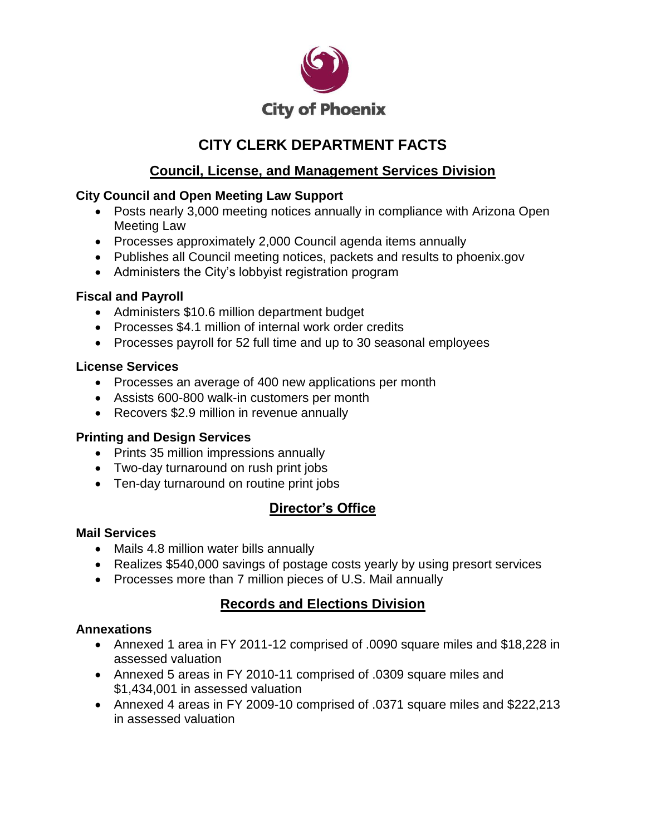

# **CITY CLERK DEPARTMENT FACTS**

## **Council, License, and Management Services Division**

### **City Council and Open Meeting Law Support**

- Posts nearly 3,000 meeting notices annually in compliance with Arizona Open Meeting Law
- Processes approximately 2,000 Council agenda items annually
- Publishes all Council meeting notices, packets and results to phoenix.gov
- Administers the City's lobbyist registration program

### **Fiscal and Payroll**

- Administers \$10.6 million department budget
- Processes \$4.1 million of internal work order credits
- Processes payroll for 52 full time and up to 30 seasonal employees

### **License Services**

- Processes an average of 400 new applications per month
- Assists 600-800 walk-in customers per month
- Recovers \$2.9 million in revenue annually

## **Printing and Design Services**

- Prints 35 million impressions annually
- Two-day turnaround on rush print jobs
- Ten-day turnaround on routine print jobs

# **Director's Office**

### **Mail Services**

- Mails 4.8 million water bills annually
- Realizes \$540,000 savings of postage costs yearly by using presort services
- Processes more than 7 million pieces of U.S. Mail annually

# **Records and Elections Division**

## **Annexations**

- Annexed 1 area in FY 2011-12 comprised of .0090 square miles and \$18,228 in assessed valuation
- Annexed 5 areas in FY 2010-11 comprised of .0309 square miles and \$1,434,001 in assessed valuation
- Annexed 4 areas in FY 2009-10 comprised of .0371 square miles and \$222,213 in assessed valuation